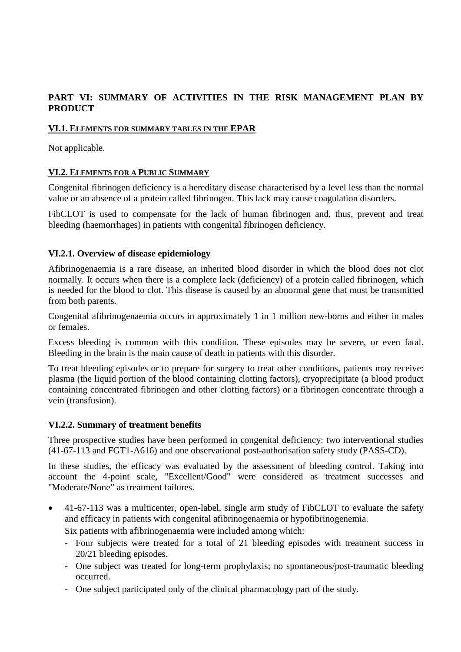### **PART VI: SUMMARY OF ACTIVITIES IN THE RISK MANAGEMENT PLAN BY PRODUCT**

### **VI.1. ELEMENTS FOR SUMMARY TABLES IN THE EPAR**

Not applicable.

### **VI.2. ELEMENTS FOR A PUBLIC SUMMARY**

Congenital fibrinogen deficiency is a hereditary disease characterised by a level less than the normal value or an absence of a protein called fibrinogen. This lack may cause coagulation disorders.

FibCLOT is used to compensate for the lack of human fibrinogen and, thus, prevent and treat bleeding (haemorrhages) in patients with congenital fibrinogen deficiency.

### **VI.2.1. Overview of disease epidemiology**

Afibrinogenaemia is a rare disease, an inherited blood disorder in which the blood does not clot normally. It occurs when there is a complete lack (deficiency) of a protein called fibrinogen, which is needed for the blood to clot. This disease is caused by an abnormal gene that must be transmitted from both parents.

Congenital afibrinogenaemia occurs in approximately 1 in 1 million new-borns and either in males or females.

Excess bleeding is common with this condition. These episodes may be severe, or even fatal. Bleeding in the brain is the main cause of death in patients with this disorder.

To treat bleeding episodes or to prepare for surgery to treat other conditions, patients may receive: plasma (the liquid portion of the blood containing clotting factors), cryoprecipitate (a blood product containing concentrated fibrinogen and other clotting factors) or a fibrinogen concentrate through a vein (transfusion).

### **VI.2.2. Summary of treatment benefits**

Three prospective studies have been performed in congenital deficiency: two interventional studies (41-67-113 and FGT1-A616) and one observational post-authorisation safety study (PASS-CD).

In these studies, the efficacy was evaluated by the assessment of bleeding control. Taking into account the 4-point scale, "Excellent/Good" were considered as treatment successes and "Moderate/None" as treatment failures.

• 41-67-113 was a multicenter, open-label, single arm study of FibCLOT to evaluate the safety and efficacy in patients with congenital afibrinogenaemia or hypofibrinogenemia.

Six patients with afibrinogenaemia were included among which:

- Four subjects were treated for a total of 21 bleeding episodes with treatment success in 20/21 bleeding episodes.
- One subject was treated for long-term prophylaxis; no spontaneous/post-traumatic bleeding occurred.
- One subject participated only of the clinical pharmacology part of the study.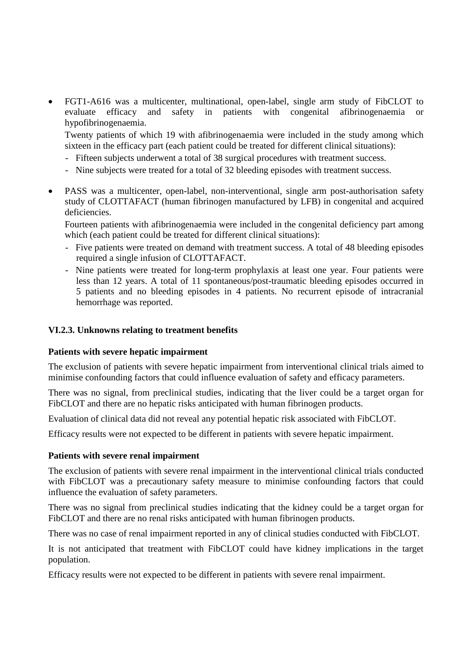• FGT1-A616 was a multicenter, multinational, open-label, single arm study of FibCLOT to evaluate efficacy and safety in patients with congenital afibrinogenaemia or hypofibrinogenaemia.

Twenty patients of which 19 with afibrinogenaemia were included in the study among which sixteen in the efficacy part (each patient could be treated for different clinical situations):

- Fifteen subjects underwent a total of 38 surgical procedures with treatment success.
- Nine subjects were treated for a total of 32 bleeding episodes with treatment success.
- PASS was a multicenter, open-label, non-interventional, single arm post-authorisation safety study of CLOTTAFACT (human fibrinogen manufactured by LFB) in congenital and acquired deficiencies.

Fourteen patients with afibrinogenaemia were included in the congenital deficiency part among which (each patient could be treated for different clinical situations):

- Five patients were treated on demand with treatment success. A total of 48 bleeding episodes required a single infusion of CLOTTAFACT.
- Nine patients were treated for long-term prophylaxis at least one year. Four patients were less than 12 years. A total of 11 spontaneous/post-traumatic bleeding episodes occurred in 5 patients and no bleeding episodes in 4 patients. No recurrent episode of intracranial hemorrhage was reported.

### **VI.2.3. Unknowns relating to treatment benefits**

### **Patients with severe hepatic impairment**

The exclusion of patients with severe hepatic impairment from interventional clinical trials aimed to minimise confounding factors that could influence evaluation of safety and efficacy parameters.

There was no signal, from preclinical studies, indicating that the liver could be a target organ for FibCLOT and there are no hepatic risks anticipated with human fibrinogen products.

Evaluation of clinical data did not reveal any potential hepatic risk associated with FibCLOT.

Efficacy results were not expected to be different in patients with severe hepatic impairment.

#### **Patients with severe renal impairment**

The exclusion of patients with severe renal impairment in the interventional clinical trials conducted with FibCLOT was a precautionary safety measure to minimise confounding factors that could influence the evaluation of safety parameters.

There was no signal from preclinical studies indicating that the kidney could be a target organ for FibCLOT and there are no renal risks anticipated with human fibrinogen products.

There was no case of renal impairment reported in any of clinical studies conducted with FibCLOT.

It is not anticipated that treatment with FibCLOT could have kidney implications in the target population.

Efficacy results were not expected to be different in patients with severe renal impairment.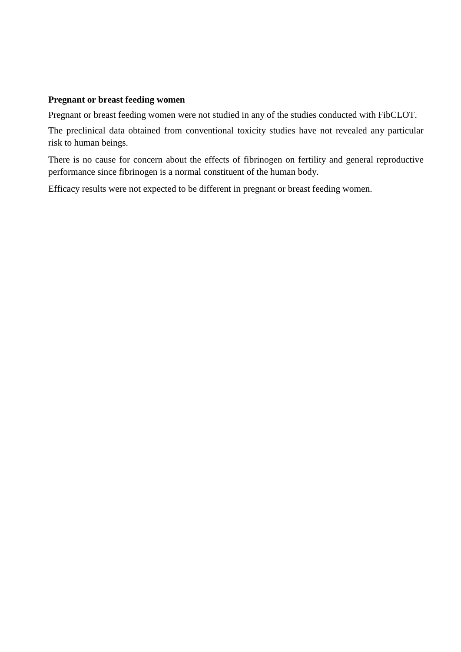### **Pregnant or breast feeding women**

Pregnant or breast feeding women were not studied in any of the studies conducted with FibCLOT.

The preclinical data obtained from conventional toxicity studies have not revealed any particular risk to human beings.

There is no cause for concern about the effects of fibrinogen on fertility and general reproductive performance since fibrinogen is a normal constituent of the human body.

Efficacy results were not expected to be different in pregnant or breast feeding women.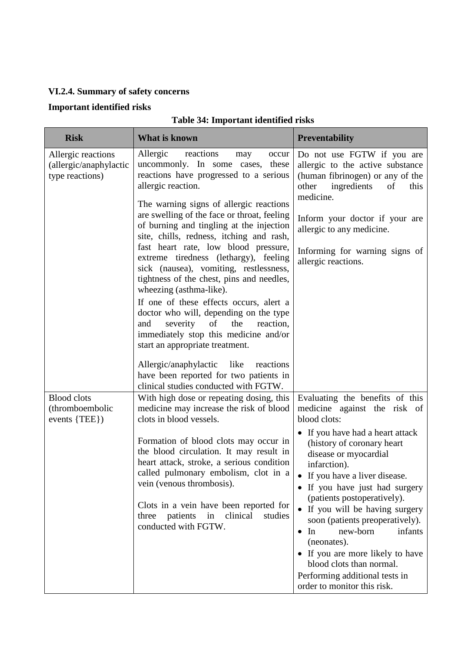# **VI.2.4. Summary of safety concerns**

## **Important identified risks**

# **Table 34: Important identified risks**

| <b>Risk</b>                                                     | What is known                                                                                                                                                                                                                                                                                                                                                                     | <b>Preventability</b>                                                                                                                                                                                                                                                                                                                                                                                                                                       |
|-----------------------------------------------------------------|-----------------------------------------------------------------------------------------------------------------------------------------------------------------------------------------------------------------------------------------------------------------------------------------------------------------------------------------------------------------------------------|-------------------------------------------------------------------------------------------------------------------------------------------------------------------------------------------------------------------------------------------------------------------------------------------------------------------------------------------------------------------------------------------------------------------------------------------------------------|
| Allergic reactions<br>(allergic/anaphylactic<br>type reactions) | Allergic<br>reactions<br>may<br>occur<br>uncommonly. In some cases, these<br>reactions have progressed to a serious<br>allergic reaction.                                                                                                                                                                                                                                         | Do not use FGTW if you are<br>allergic to the active substance<br>(human fibrinogen) or any of the<br>ingredients<br>other<br>of<br>this<br>medicine.                                                                                                                                                                                                                                                                                                       |
|                                                                 | The warning signs of allergic reactions<br>are swelling of the face or throat, feeling<br>of burning and tingling at the injection<br>site, chills, redness, itching and rash,<br>fast heart rate, low blood pressure,<br>extreme tiredness (lethargy), feeling<br>sick (nausea), vomiting, restlessness,<br>tightness of the chest, pins and needles,<br>wheezing (asthma-like). | Inform your doctor if your are<br>allergic to any medicine.<br>Informing for warning signs of<br>allergic reactions.                                                                                                                                                                                                                                                                                                                                        |
|                                                                 | If one of these effects occurs, alert a<br>doctor who will, depending on the type<br>severity<br>of<br>the<br>reaction,<br>and<br>immediately stop this medicine and/or<br>start an appropriate treatment.                                                                                                                                                                        |                                                                                                                                                                                                                                                                                                                                                                                                                                                             |
|                                                                 | Allergic/anaphylactic like<br>reactions<br>have been reported for two patients in<br>clinical studies conducted with FGTW.                                                                                                                                                                                                                                                        |                                                                                                                                                                                                                                                                                                                                                                                                                                                             |
| <b>Blood</b> clots<br>(thromboembolic<br>events {TEE})          | With high dose or repeating dosing, this<br>medicine may increase the risk of blood<br>clots in blood vessels.                                                                                                                                                                                                                                                                    | Evaluating the benefits of this<br>medicine against the risk of<br>blood clots:                                                                                                                                                                                                                                                                                                                                                                             |
|                                                                 | Formation of blood clots may occur in<br>the blood circulation. It may result in<br>heart attack, stroke, a serious condition<br>called pulmonary embolism, clot in a<br>vein (venous thrombosis).<br>Clots in a vein have been reported for<br>patients<br>clinical<br>studies<br>three<br>in<br>conducted with FGTW.                                                            | • If you have had a heart attack<br>(history of coronary heart<br>disease or myocardial<br>infarction).<br>If you have a liver disease.<br>• If you have just had surgery<br>(patients postoperatively).<br>• If you will be having surgery<br>soon (patients preoperatively).<br>new-born<br>In<br>infants<br>(neonates).<br>• If you are more likely to have<br>blood clots than normal.<br>Performing additional tests in<br>order to monitor this risk. |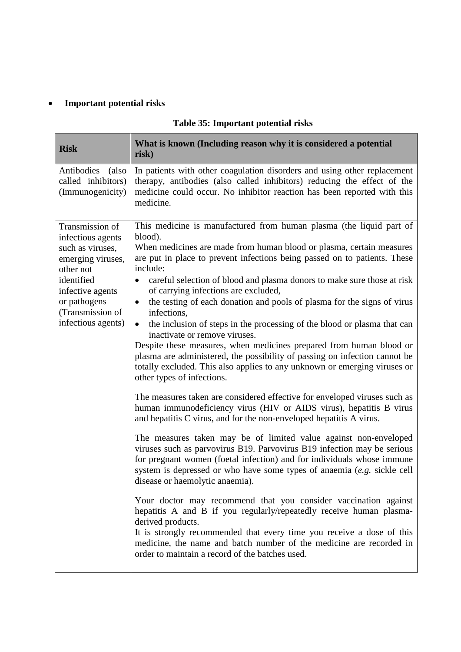# • **Important potential risks**

| <b>Risk</b>                                                                                                                                                                            | What is known (Including reason why it is considered a potential<br>risk)                                                                                                                                                                                                                                                                                                                                                                                                                                                                                                                                                                                                                                                                                                                                                                                                                                                                                                                                                                                                                                                                                                                                                                                                                                                                                                                                                                                                                                                                                                                                                                                                                                                                                                                                            |
|----------------------------------------------------------------------------------------------------------------------------------------------------------------------------------------|----------------------------------------------------------------------------------------------------------------------------------------------------------------------------------------------------------------------------------------------------------------------------------------------------------------------------------------------------------------------------------------------------------------------------------------------------------------------------------------------------------------------------------------------------------------------------------------------------------------------------------------------------------------------------------------------------------------------------------------------------------------------------------------------------------------------------------------------------------------------------------------------------------------------------------------------------------------------------------------------------------------------------------------------------------------------------------------------------------------------------------------------------------------------------------------------------------------------------------------------------------------------------------------------------------------------------------------------------------------------------------------------------------------------------------------------------------------------------------------------------------------------------------------------------------------------------------------------------------------------------------------------------------------------------------------------------------------------------------------------------------------------------------------------------------------------|
| Antibodies (also<br>called inhibitors)<br>(Immunogenicity)                                                                                                                             | In patients with other coagulation disorders and using other replacement<br>therapy, antibodies (also called inhibitors) reducing the effect of the<br>medicine could occur. No inhibitor reaction has been reported with this<br>medicine.                                                                                                                                                                                                                                                                                                                                                                                                                                                                                                                                                                                                                                                                                                                                                                                                                                                                                                                                                                                                                                                                                                                                                                                                                                                                                                                                                                                                                                                                                                                                                                          |
| Transmission of<br>infectious agents<br>such as viruses,<br>emerging viruses,<br>other not<br>identified<br>infective agents<br>or pathogens<br>(Transmission of<br>infectious agents) | This medicine is manufactured from human plasma (the liquid part of<br>blood).<br>When medicines are made from human blood or plasma, certain measures<br>are put in place to prevent infections being passed on to patients. These<br>include:<br>careful selection of blood and plasma donors to make sure those at risk<br>$\bullet$<br>of carrying infections are excluded,<br>the testing of each donation and pools of plasma for the signs of virus<br>$\bullet$<br>infections,<br>the inclusion of steps in the processing of the blood or plasma that can<br>$\bullet$<br>inactivate or remove viruses.<br>Despite these measures, when medicines prepared from human blood or<br>plasma are administered, the possibility of passing on infection cannot be<br>totally excluded. This also applies to any unknown or emerging viruses or<br>other types of infections.<br>The measures taken are considered effective for enveloped viruses such as<br>human immunodeficiency virus (HIV or AIDS virus), hepatitis B virus<br>and hepatitis C virus, and for the non-enveloped hepatitis A virus.<br>The measures taken may be of limited value against non-enveloped<br>viruses such as parvovirus B19. Parvovirus B19 infection may be serious<br>for pregnant women (foetal infection) and for individuals whose immune<br>system is depressed or who have some types of anaemia (e.g. sickle cell<br>disease or haemolytic anaemia).<br>Your doctor may recommend that you consider vaccination against<br>hepatitis A and B if you regularly/repeatedly receive human plasma-<br>derived products.<br>It is strongly recommended that every time you receive a dose of this<br>medicine, the name and batch number of the medicine are recorded in<br>order to maintain a record of the batches used. |

## **Table 35: Important potential risks**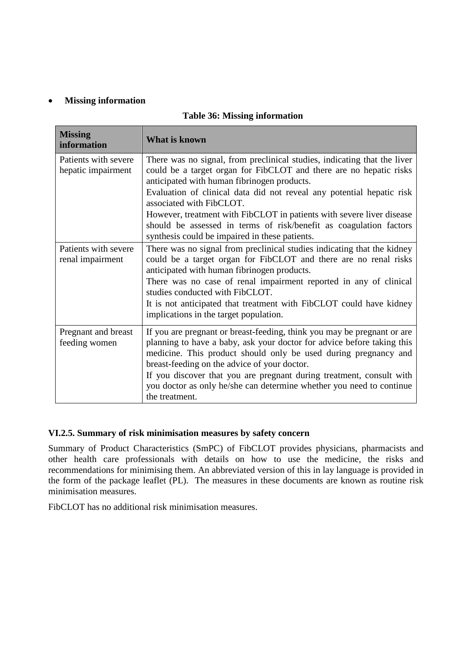### • **Missing information**

|  |  | <b>Table 36: Missing information</b> |
|--|--|--------------------------------------|
|--|--|--------------------------------------|

| <b>Missing</b><br>information              | <b>What is known</b>                                                                                                                                                                                                                                                                                                                                                                                                                                                                                |
|--------------------------------------------|-----------------------------------------------------------------------------------------------------------------------------------------------------------------------------------------------------------------------------------------------------------------------------------------------------------------------------------------------------------------------------------------------------------------------------------------------------------------------------------------------------|
| Patients with severe<br>hepatic impairment | There was no signal, from preclinical studies, indicating that the liver<br>could be a target organ for FibCLOT and there are no hepatic risks<br>anticipated with human fibrinogen products.<br>Evaluation of clinical data did not reveal any potential hepatic risk<br>associated with FibCLOT.<br>However, treatment with FibCLOT in patients with severe liver disease<br>should be assessed in terms of risk/benefit as coagulation factors<br>synthesis could be impaired in these patients. |
| Patients with severe<br>renal impairment   | There was no signal from preclinical studies indicating that the kidney<br>could be a target organ for FibCLOT and there are no renal risks<br>anticipated with human fibrinogen products.<br>There was no case of renal impairment reported in any of clinical<br>studies conducted with FibCLOT.<br>It is not anticipated that treatment with FibCLOT could have kidney<br>implications in the target population.                                                                                 |
| Pregnant and breast<br>feeding women       | If you are pregnant or breast-feeding, think you may be pregnant or are<br>planning to have a baby, ask your doctor for advice before taking this<br>medicine. This product should only be used during pregnancy and<br>breast-feeding on the advice of your doctor.<br>If you discover that you are pregnant during treatment, consult with<br>you doctor as only he/she can determine whether you need to continue<br>the treatment.                                                              |

### **VI.2.5. Summary of risk minimisation measures by safety concern**

Summary of Product Characteristics (SmPC) of FibCLOT provides physicians, pharmacists and other health care professionals with details on how to use the medicine, the risks and recommendations for minimising them. An abbreviated version of this in lay language is provided in the form of the package leaflet (PL). The measures in these documents are known as routine risk minimisation measures.

FibCLOT has no additional risk minimisation measures.